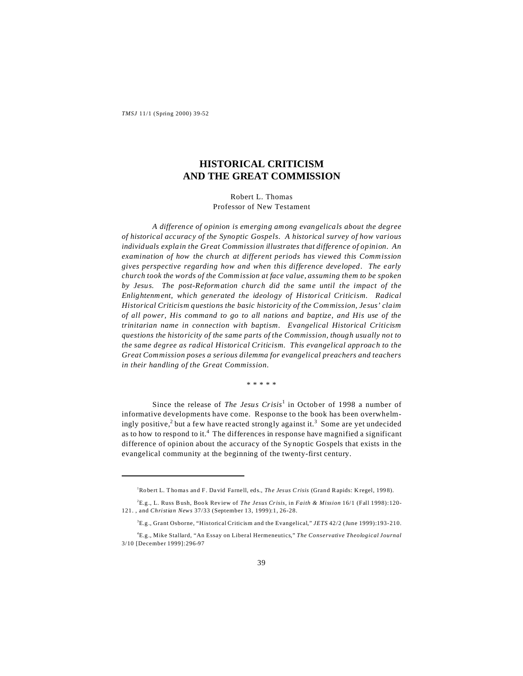*TMSJ* 11/1 (Spring 2000) 39-52

# **HISTORICAL CRITICISM AND THE GREAT COMMISSION**

Robert L. Thomas Professor of New Testament

*A difference of opinion is emerging among evangelicals about the degree of historical accuracy of the Synoptic Gospels. A historical survey of how various individuals explain the Great Commission illustrates that difference of opinion. An examination of how the church at different periods has viewed this Commission gives perspective regarding how and when this difference developed. The early church took the words of the Commission at face value, assuming them to be spoken by Jesus. The post-Reformation church did the same until the impact of the Enlightenment, which generated the ideology of Historical Criticism. Radical Historical Criticism questions the basic historicity of the Commission, Jesus' claim of all power, His command to go to all nations and baptize, and His use of the trinitarian name in connection with baptism. Evangelical Historical Criticism questions the historicity of the same parts of the Commission, though usually not to the same degree as radical Historical Criticism. This evangelical approach to the Great Commission poses a serious dilemma for evangelical preachers and teachers in their handling of the Great Commission.*

\* \* \* \* \*

Since the release of *The Jesus Crisis*<sup>1</sup> in October of 1998 a number of informative developments have come. Response to the book has been overwhelmingly positive,<sup>2</sup> but a few have reacted strongly against it.<sup>3</sup> Some are yet undecided as to how to respond to it.<sup>4</sup> The differences in response have magnified a significant difference of opinion about the accuracy of the Synoptic Gospels that exists in the evangelical community at the beginning of the twenty-first century.

<sup>&</sup>lt;sup>1</sup>Robert L. Thomas and F. David Farnell, eds., *The Jesus Crisis* (Grand Rapids: Kregel, 1998).

<sup>&</sup>lt;sup>2</sup>E.g., L. Russ Bush, Book Review of *The Jesus Crisis*, in *Faith & Mission* 16/1 (Fall 1998):120-121. , and *Christian News* 37/33 (September 13, 1999):1, 26-28.

<sup>3</sup>E.g ., Grant Osborne, "Historical Criticism and the Evangelical," *JETS* 42/2 (June 1999):193-210.

<sup>4</sup>E.g ., Mike Stallard, "An Essay on Liberal Hermeneutics," *The Conservative Theological Journal* 3/10 [December 1999]:296-97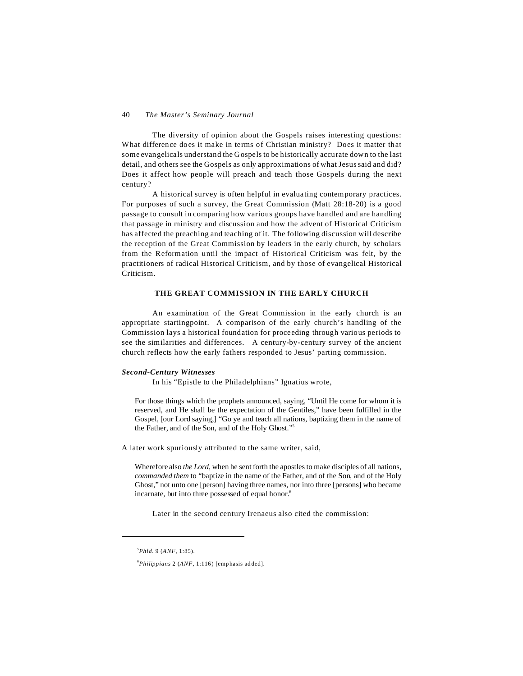The diversity of opinion about the Gospels raises interesting questions: What difference does it make in terms of Christian ministry? Does it matter that some evangelicals understand the Gospels to be historically accurate down to the last detail, and others see the Gospels as only approximations of what Jesus said and did? Does it affect how people will preach and teach those Gospels during the next century?

A historical survey is often helpful in evaluating contemporary practices. For purposes of such a survey, the Great Commission (Matt 28:18-20) is a good passage to consult in comparing how various groups have handled and are handling that passage in ministry and discussion and how the advent of Historical Criticism has affected the preaching and teaching of it. The following discussion will describe the reception of the Great Commission by leaders in the early church, by scholars from the Reformation until the impact of Historical Criticism was felt, by the practitioners of radical Historical Criticism, and by those of evangelical Historical Criticism.

## **THE GREAT COMMISSION IN THE EARLY CHURCH**

An examination of the Great Commission in the early church is an appropriate startingpoint. A comparison of the early church's handling of the Commission lays a historical foundation for proceeding through various periods to see the similarities and differences. A century-by-century survey of the ancient church reflects how the early fathers responded to Jesus' parting commission.

#### *Second-Century Witnesses*

In his "Epistle to the Philadelphians" Ignatius wrote,

For those things which the prophets announced, saying, "Until He come for whom it is reserved, and He shall be the expectation of the Gentiles," have been fulfilled in the Gospel, [our Lord saying,] "Go ye and teach all nations, baptizing them in the name of the Father, and of the Son, and of the Holy Ghost."<sup>5</sup>

A later work spuriously attributed to the same writer, said,

Wherefore also *the Lord*, when he sent forth the apostles to make disciples of all nations, *commanded them* to "baptize in the name of the Father, and of the Son, and of the Holy Ghost," not unto one [person] having three names, nor into three [persons] who became incarnate, but into three possessed of equal honor.<sup>6</sup>

Later in the second century Irenaeus also cited the commission:

<sup>5</sup>*Phld.* 9 (*ANF*, 1:85).

<sup>&</sup>lt;sup>6</sup>Philippians 2 (ANF, 1:116) [emphasis added].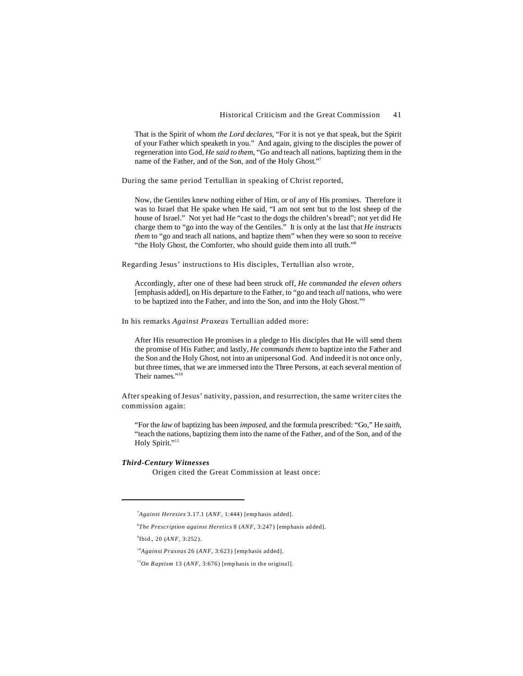That is the Spirit of whom *the Lord declares*, "For it is not ye that speak, but the Spirit of your Father which speaketh in you." And again, giving to the disciples the power of regeneration into God, *He said to them*, "Go and teach all nations, baptizing them in the name of the Father, and of the Son, and of the Holy Ghost."<sup>7</sup>

During the same period Tertullian in speaking of Christ reported,

Now, the Gentiles knew nothing either of Him, or of any of His promises. Therefore it was to Israel that He spake when He said, "I am not sent but to the lost sheep of the house of Israel." Not yet had He "cast to the dogs the children's bread"; not yet did He charge them to "go into the way of the Gentiles." It is only at the last that *He instructs them* to "go and teach all nations, and baptize them" when they were so soon to receive "the Holy Ghost, the Comforter, who should guide them into all truth."<sup>8</sup>

Regarding Jesus' instructions to His disciples, Tertullian also wrote,

Accordingly, after one of these had been struck off, *He commanded the eleven others* [emphasis added], on His departure to the Father, to "go and teach *all* nations, who were to be baptized into the Father, and into the Son, and into the Holy Ghost."<sup>9</sup>

In his remarks *Against Praxeas* Tertullian added more:

After His resurrection He promises in a pledge to His disciples that He will send them the promise of His Father; and lastly, *He commands them* to baptize into the Father and the Son and the Holy Ghost, not into an unipersonal God. And indeed it is not once only, but three times, that we are immersed into the Three Persons, at each several mention of Their names."<sup>10</sup>

After speaking of Jesus' nativity, passion, and resurrection, the same writer cites the commission again:

"For the *law* of baptizing has been *imposed*, and the formula prescribed: "Go," He *saith*, "teach the nations, baptizing them into the name of the Father, and of the Son, and of the Holy Spirit."<sup>11</sup>

## *Third-Century Witnesses*

Origen cited the Great Commission at least once:

<sup>&</sup>lt;sup>7</sup>Against Heresies 3.17.1 (ANF, 1:444) [emphasis added].

<sup>8</sup> *The Prescription against Heretics* 8 (*ANF*, 3:247 ) [emp hasis ad ded].

<sup>9</sup> Ibid., 20 (*ANF*, 3:252 ).

<sup>&</sup>lt;sup>10</sup>Against Praxeas 26 (ANF, 3:623) [emphasis added].

 $11$ On Baptism 13 (ANF, 3:676) [emphasis in the original].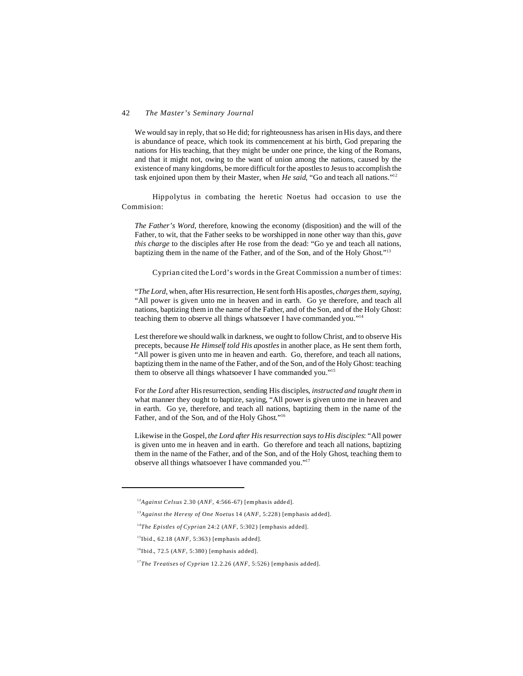We would say in reply, that so He did; for righteousness has arisen in His days, and there is abundance of peace, which took its commencement at his birth, God preparing the nations for His teaching, that they might be under one prince, the king of the Romans, and that it might not, owing to the want of union among the nations, caused by the existence of many kingdoms, be more difficult for the apostles to Jesus to accomplish the task enjoined upon them by their Master, when *He said*, "Go and teach all nations."<sup>12</sup>

Hippolytus in combating the heretic Noetus had occasion to use the Commision:

*The Father's Word*, therefore, knowing the economy (disposition) and the will of the Father, to wit, that the Father seeks to be worshipped in none other way than this, *gave this charge* to the disciples after He rose from the dead: "Go ye and teach all nations, baptizing them in the name of the Father, and of the Son, and of the Holy Ghost."<sup>13</sup>

Cyprian cited the Lord's words in the Great Commission a number of times:

"*The Lord*, when, after His resurrection, He sent forth His apostles, *charges them, saying*, "All power is given unto me in heaven and in earth. Go ye therefore, and teach all nations, baptizing them in the name of the Father, and of the Son, and of the Holy Ghost: teaching them to observe all things whatsoever I have commanded you."<sup>14</sup>

Lest therefore we should walk in darkness, we ought to follow Christ, and to observe His precepts, because *He Himself told His apostles* in another place, as He sent them forth, "All power is given unto me in heaven and earth. Go, therefore, and teach all nations, baptizing them in the name of the Father, and of the Son, and of the Holy Ghost: teaching them to observe all things whatsoever I have commanded you."<sup>15</sup>

For *the Lord* after His resurrection, sending His disciples, *instructed and taught them* in what manner they ought to baptize, saying, "All power is given unto me in heaven and in earth. Go ye, therefore, and teach all nations, baptizing them in the name of the Father, and of the Son, and of the Holy Ghost."<sup>16</sup>

Likewise in the Gospel, *the Lord after His resurrection says to His disciples*: "All power is given unto me in heaven and in earth. Go therefore and teach all nations, baptizing them in the name of the Father, and of the Son, and of the Holy Ghost, teaching them to observe all things whatsoever I have commanded you."17

<sup>&</sup>lt;sup>12</sup>Against Celsus 2.30 (ANF, 4:566-67) [emphasis added].

<sup>&</sup>lt;sup>13</sup>Against the Heresy of One Noetus 14 (ANF, 5:228) [emphasis added].

<sup>&</sup>lt;sup>14</sup>The Epistles of Cyprian 24:2 ( $ANF$ , 5:302) [emphasis added].

 $15$ Ibid., 62.18 (*ANF*, 5:363) [emphasis added].

 $^{16}$ Ibid., 72.5 (*ANF*, 5:380) [emphasis added].

<sup>&</sup>lt;sup>17</sup>The Treatises of Cyprian 12.2.26 (ANF, 5:526) [emphasis added].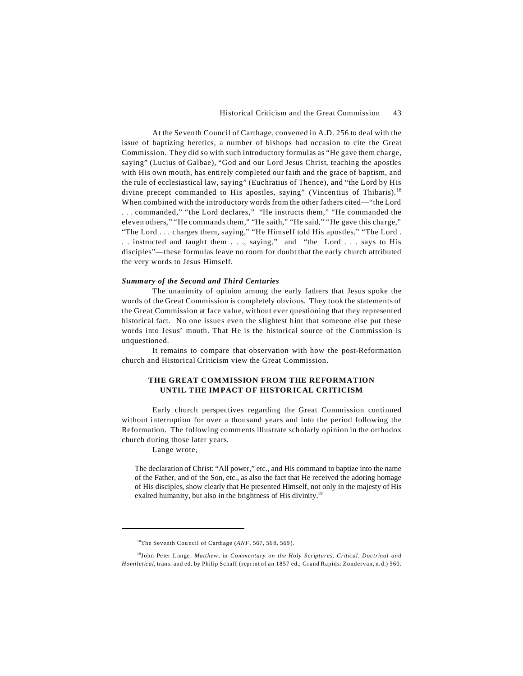At the Seventh Council of Carthage, convened in A.D. 256 to deal with the issue of baptizing heretics, a number of bishops had occasion to cite the Great Commission. They did so with such introductory formulas as "He gave them charge, saying" (Lucius of Galbae), "God and our Lord Jesus Christ, teaching the apostles with His own mouth, has entirely completed our faith and the grace of baptism, and the rule of ecclesiastical law, saying" (Euchratius of Thence), and "the Lord by His divine precept commanded to His apostles, saying" (Vincentius of Thibaris).<sup>18</sup> When combined with the introductory words from the other fathers cited—"the Lord . . . commanded," "the Lord declares," "He instructs them," "He commanded the eleven others," "He commands them," "He saith," "He said," "He gave this charge," "The Lord . . . charges them, saying," "He Himself told His apostles," "The Lord . . . instructed and taught them . . ., saying," and "the Lord . . . says to His disciples"—these formulas leave no room for doubt that the early church attributed the very words to Jesus Himself.

### *Summary of the Second and Third Centuries*

The unanimity of opinion among the early fathers that Jesus spoke the words of the Great Commission is completely obvious. They took the statements of the Great Commission at face value, without ever questioning that they represented historical fact. No one issues even the slightest hint that someone else put these words into Jesus' mouth. That He is the historical source of the Commission is unquestioned.

It remains to compare that observation with how the post-Reformation church and Historical Criticism view the Great Commission.

## **THE GREAT COMMISSION FROM THE REFORMATION UNTIL THE IMPACT OF HISTORICAL CRITICISM**

Early church perspectives regarding the Great Commission continued without interruption for over a thousand years and into the period following the Reformation. The following comments illustrate scholarly opinion in the orthodox church during those later years.

Lange wrote,

The declaration of Christ: "All power," etc., and His command to baptize into the name of the Father, and of the Son, etc., as also the fact that He received the adoring homage of His disciples, show clearly that He presented Himself, not only in the majesty of His exalted humanity, but also in the brightness of His divinity.<sup>19</sup>

<sup>&</sup>lt;sup>18</sup>The Seventh Council of Carthage (*ANF*, 567, 568, 569).

<sup>19</sup>John Pe ter Lange, *Matthew*, in *Commentary on the Holy Scriptures, Critical, Doctrinal and Homiletical*, trans. and ed. by Philip Schaff (reprint of an 1857 ed.; Grand Rapids: Zondervan, n.d.) 560.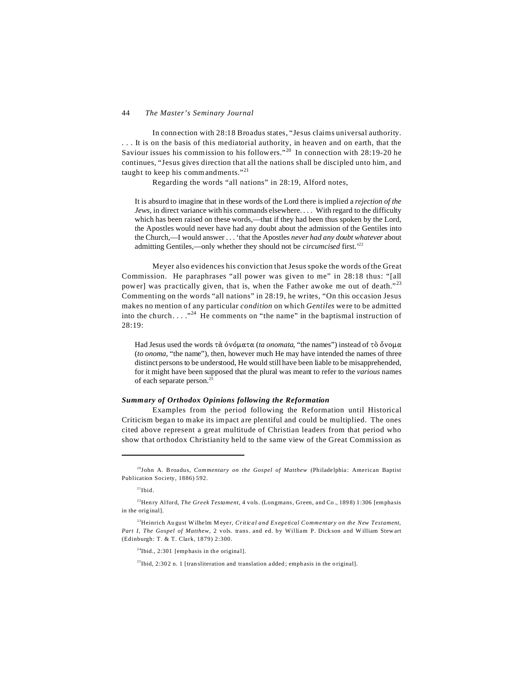In connection with 28:18 Broadus states, "Jesus claims universal authority. . . . It is on the basis of this mediatorial authority, in heaven and on earth, that the Saviour issues his commission to his followers."<sup>20</sup> In connection with 28:19-20 he continues, "Jesus gives direction that all the nations shall be discipled unto him, and taught to keep his commandments."<sup>21</sup>

Regarding the words "all nations" in 28:19, Alford notes,

It is absurd to imagine that in these words of the Lord there is implied a *rejection of the Jews*, in direct variance with his commands elsewhere. . . . With regard to the difficulty which has been raised on these words,—that if they had been thus spoken by the Lord, the Apostles would never have had any doubt about the admission of the Gentiles into the Church,—I would answer . . . 'that the Apostles *never had any doubt whatever* about admitting Gentiles,—only whether they should not be *circumcised* first.'<sup>22</sup>

Meyer also evidences his conviction that Jesus spoke the words of the Great Commission. He paraphrases "all power was given to me" in 28:18 thus: "[all power] was practically given, that is, when the Father awoke me out of death."<sup>23</sup> Commenting on the words "all nations" in 28:19, he writes, "On this occasion Jesus makes no mention of any particular *condition* on which *Gentiles* were to be admitted into the church...."<sup>24</sup> He comments on "the name" in the baptismal instruction of 28:19:

Had Jesus used the words  $\tau \alpha$  over  $\alpha$  *(ta onomata, "the names")* instead of  $\tau \delta \delta v \rho \mu \alpha$ (*to onoma*, "the name"), then, however much He may have intended the names of three distinct persons to be understood, He would still have been liable to be misapprehended, for it might have been supposed that the plural was meant to refer to the *various* names of each separate person.<sup>25</sup>

### *Summary of Orthodox Opinions following the Reformation*

Examples from the period following the Reformation until Historical Criticism began to make its impact are plentiful and could be multiplied. The ones cited above represent a great multitude of Christian leaders from that period who show that orthodox Christianity held to the same view of the Great Commission as

 $24$ Ibid., 2:301 [emphasis in the original].

 $25$ Ibid, 2:302 n. 1 [tran sliteration and translation added; emphasis in the original].

<sup>&</sup>lt;sup>20</sup>John A. B roadus, *Commentary on the Gospel of Matthew* (Philadelphia: American Baptist Publication Society, 1886) 592.

 $21$ Ibid.

<sup>&</sup>lt;sup>22</sup>Henry Alford, *The Greek Testament*, 4 vols. (Longmans, Green, and Co., 1898) 1:306 [emphasis in the original].

<sup>23</sup>Heinrich Au gust W ilhe lm M eye r, *Critical and Exegetical Commentary on the New Testament, Part I, The Gospel of Matthew*, 2 vols. trans. and ed. by William P. Dick son and W illiam Stew art (Edinburgh: T. & T. Clark, 1879) 2:300.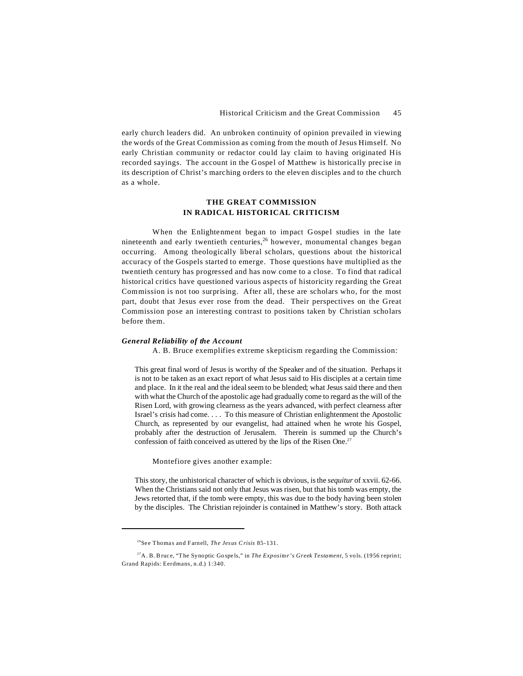early church leaders did. An unbroken continuity of opinion prevailed in viewing the words of the Great Commission as coming from the mouth of Jesus Himself. No early Christian community or redactor could lay claim to having originated His recorded sayings. The account in the Gospel of Matthew is historically precise in its description of Christ's marching orders to the eleven disciples and to the church as a whole.

## **THE GREAT COMMISSION IN RADICAL HISTORICAL CRITICISM**

When the Enlightenment began to impact Gospel studies in the late nineteenth and early twentieth centuries,<sup>26</sup> however, monumental changes began occurring. Among theologically liberal scholars, questions about the historical accuracy of the Gospels started to emerge. Those questions have multiplied as the twentieth century has progressed and has now come to a close. To find that radical historical critics have questioned various aspects of historicity regarding the Great Commission is not too surprising. After all, these are scholars who, for the most part, doubt that Jesus ever rose from the dead. Their perspectives on the Great Commission pose an interesting contrast to positions taken by Christian scholars before them.

## *General Reliability of the Account*

A. B. Bruce exemplifies extreme skepticism regarding the Commission:

This great final word of Jesus is worthy of the Speaker and of the situation. Perhaps it is not to be taken as an exact report of what Jesus said to His disciples at a certain time and place. In it the real and the ideal seem to be blended; what Jesus said there and then with what the Church of the apostolic age had gradually come to regard as the will of the Risen Lord, with growing clearness as the years advanced, with perfect clearness after Israel's crisis had come. . . . To this measure of Christian enlightenment the Apostolic Church, as represented by our evangelist, had attained when he wrote his Gospel, probably after the destruction of Jerusalem. Therein is summed up the Church's confession of faith conceived as uttered by the lips of the Risen One.<sup>27</sup>

Montefiore gives another example:

This story, the unhistorical character of which is obvious, is the *sequitur* of xxvii. 62-66. When the Christians said not only that Jesus was risen, but that his tomb was empty, the Jews retorted that, if the tomb were empty, this was due to the body having been stolen by the disciples. The Christian rejoinder is contained in Matthew's story. Both attack

<sup>&</sup>lt;sup>26</sup>See Thomas and Farnell, *The Jesus Crisis* 85-131.

<sup>&</sup>lt;sup>27</sup>A. B. Bruce, "The Synoptic Gospels," in *The Expositor's Greek Testament*, 5 vols. (1956 reprint; Grand Rapids: Eerdmans, n.d.) 1:340.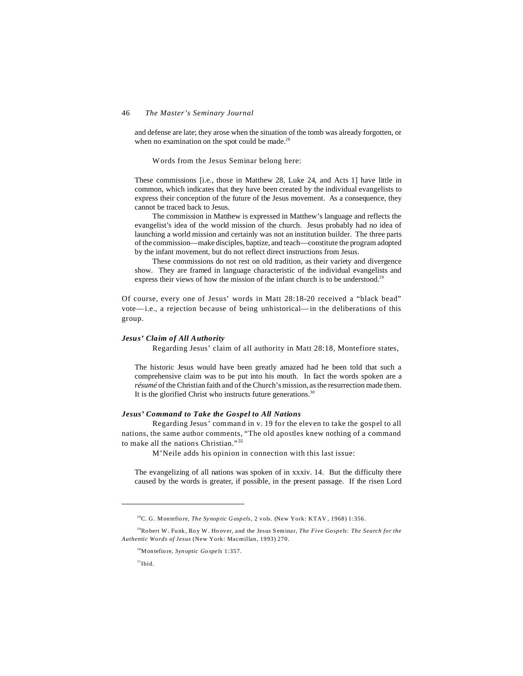and defense are late; they arose when the situation of the tomb was already forgotten, or when no examination on the spot could be made.<sup>28</sup>

Words from the Jesus Seminar belong here:

These commissions [i.e., those in Matthew 28, Luke 24, and Acts 1] have little in common, which indicates that they have been created by the individual evangelists to express their conception of the future of the Jesus movement. As a consequence, they cannot be traced back to Jesus.

The commission in Matthew is expressed in Matthew's language and reflects the evangelist's idea of the world mission of the church. Jesus probably had no idea of launching a world mission and certainly was not an institution builder. The three parts of the commission—make disciples, baptize, and teach—constitute the program adopted by the infant movement, but do not reflect direct instructions from Jesus.

These commissions do not rest on old tradition, as their variety and divergence show. They are framed in language characteristic of the individual evangelists and express their views of how the mission of the infant church is to be understood.<sup>29</sup>

Of course, every one of Jesus' words in Matt 28:18-20 received a "black bead" vote—i.e., a rejection because of being unhistorical—in the deliberations of this group.

#### *Jesus' Claim of All Authority*

Regarding Jesus' claim of all authority in Matt 28:18, Montefiore states,

The historic Jesus would have been greatly amazed had he been told that such a comprehensive claim was to be put into his mouth. In fact the words spoken are a *résumé* of the Christian faith and of the Church's mission, as the resurrection made them. It is the glorified Christ who instructs future generations. $30$ 

## *Jesus' Command to Take the Gospel to All Nations*

Regarding Jesus' command in v. 19 for the eleven to take the gospel to all nations, the same author comments, "The old apostles knew nothing of a command to make all the nations Christian."<sup>31</sup>

M'Neile adds his opinion in connection with this last issue:

The evangelizing of all nations was spoken of in xxxiv. 14. But the difficulty there caused by the words is greater, if possible, in the present passage. If the risen Lord

<sup>28</sup>C. G . Montefio re, *The Synop tic Gosp els*, 2 vols. (New York: KTAV , 1968) 1:356.

<sup>&</sup>lt;sup>29</sup>Robert W. Funk, Roy W. Hoover, and the Jesus Seminar, *The Five Gospels: The Search for the Authentic Words of Jesus* (New York: Macmillan, 1993) 270.

<sup>30</sup>Montefio re, *Syn optic Go spe ls* 1:357.

 $31$ Ibid.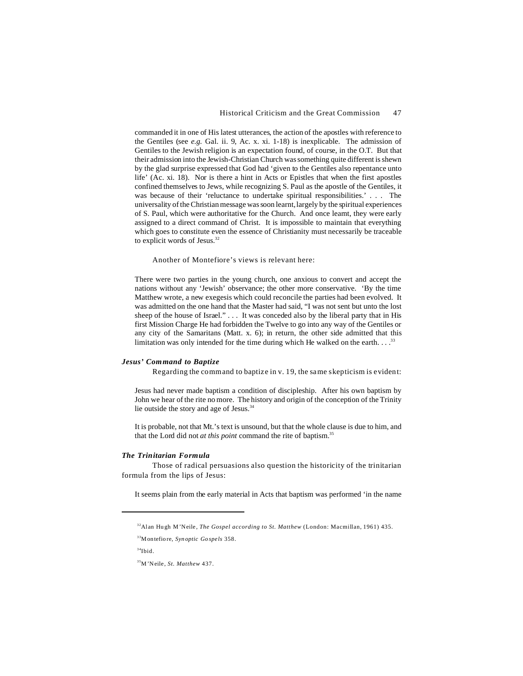commanded it in one of His latest utterances, the action of the apostles with reference to the Gentiles (see *e.g.* Gal. ii. 9, Ac. x. xi. 1-18) is inexplicable. The admission of Gentiles to the Jewish religion is an expectation found, of course, in the O.T. But that their admission into the Jewish-Christian Church was something quite different is shewn by the glad surprise expressed that God had 'given to the Gentiles also repentance unto life' (Ac. xi. 18). Nor is there a hint in Acts or Epistles that when the first apostles confined themselves to Jews, while recognizing S. Paul as the apostle of the Gentiles, it was because of their 'reluctance to undertake spiritual responsibilities.' . . . The universality of the Christian message was soon learnt, largely by the spiritual experiences of S. Paul, which were authoritative for the Church. And once learnt, they were early assigned to a direct command of Christ. It is impossible to maintain that everything which goes to constitute even the essence of Christianity must necessarily be traceable to explicit words of Jesus.<sup>32</sup>

Another of Montefiore's views is relevant here:

There were two parties in the young church, one anxious to convert and accept the nations without any 'Jewish' observance; the other more conservative. 'By the time Matthew wrote, a new exegesis which could reconcile the parties had been evolved. It was admitted on the one hand that the Master had said, "I was not sent but unto the lost sheep of the house of Israel." . . . It was conceded also by the liberal party that in His first Mission Charge He had forbidden the Twelve to go into any way of the Gentiles or any city of the Samaritans (Matt. x. 6); in return, the other side admitted that this limitation was only intended for the time during which He walked on the earth.  $\dots$ <sup>33</sup>

## *Jesus' Command to Baptize*

Regarding the command to baptize in v. 19, the same skepticism is evident:

Jesus had never made baptism a condition of discipleship. After his own baptism by John we hear of the rite no more. The history and origin of the conception of the Trinity lie outside the story and age of Jesus.<sup>34</sup>

It is probable, not that Mt.'s text is unsound, but that the whole clause is due to him, and that the Lord did not *at this point* command the rite of baptism.<sup>35</sup>

## *The Trinitarian Formula*

Those of radical persuasions also question the historicity of the trinitarian formula from the lips of Jesus:

It seems plain from the early material in Acts that baptism was performed 'in the name

<sup>&</sup>lt;sup>32</sup> Alan Hugh M'Neile, *The Gospel according to St. Matthew* (London: Macmillan, 1961) 435.

<sup>33</sup>Montefio re, *Syn optic Go spe ls* 358.

 $34$ Ibid.

<sup>35</sup>M'Neile, *St. Matthew* 437.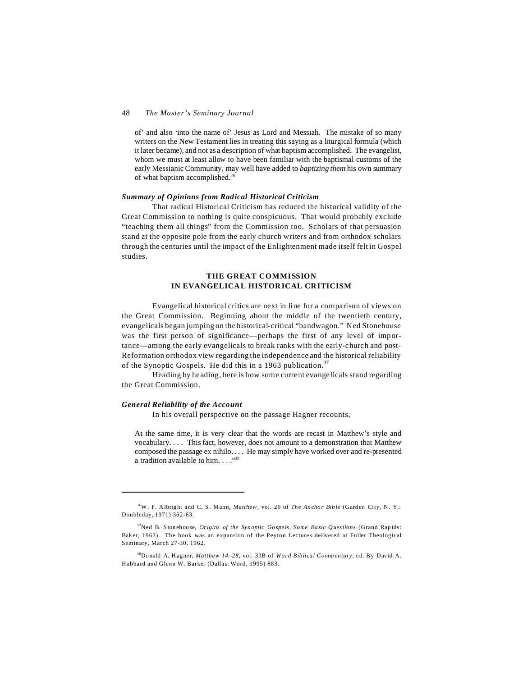of' and also 'into the name of' Jesus as Lord and Messiah. The mistake of so many writers on the New Testament lies in treating this saying as a liturgical formula (which it later became), and not as a description of what baptism accomplished. The evangelist, whom we must at least allow to have been familiar with the baptismal customs of the early Messianic Community, may well have added to *baptizing them* his own summary of what baptism accomplished.<sup>36</sup>

### *Summary of Opinions from Radical Historical Criticism*

That radical Historical Criticism has reduced the historical validity of the Great Commission to nothing is quite conspicuous. That would probably exclude "teaching them all things" from the Commission too. Scholars of that persuasion stand at the opposite pole from the early church writers and from orthodox scholars through the centuries until the impact of the Enlightenment made itself felt in Gospel studies.

## **THE GREAT COMMISSION IN EVANGELICAL HISTORICAL CRITICISM**

Evangelical historical critics are next in line for a comparison of views on the Great Commission. Beginning about the middle of the twentieth century, evangelicals began jumping on the historical-critical "bandwagon." Ned Stonehouse was the first person of significance—perhaps the first of any level of importance—among the early evangelicals to break ranks with the early-church and post-Reformation orthodox view regarding the independence and the historical reliability of the Synoptic Gospels. He did this in a 1963 publication.<sup>37</sup>

Heading by heading, here is how some current evangelicals stand regarding the Great Commission.

## *General Reliability of the Account*

In his overall perspective on the passage Hagner recounts,

At the same time, it is very clear that the words are recast in Matthew's style and vocabulary. . . . This fact, however, does not amount to a demonstration that Matthew composed the passage ex nihilo. . . . He may simply have worked over and re-presented a tradition available to him. . . . "<sup>38</sup>

<sup>&</sup>lt;sup>36</sup>W. F. Albright and C. S. Mann, *Matthew*, vol. 26 of *The Anchor Bible* (Garden City, N. Y.: Doubleday, 1971) 362-63.

<sup>&</sup>lt;sup>37</sup>Ned B. Stonehouse, *Origins of the Synoptic Gospels, Some Basic Questions* (Grand Rapids: Bak er, 1963). The book was an expansion of the Peyton Lectures delivered at Fuller Theological Seminary, March 27-30, 1962.

<sup>38</sup>Do nald A. H agner, *Matthew 14–28*, vol. 33B of *Word Biblical Comm entary*, ed. By David A. Hubbard and Glenn W. Barker (Dallas: Word, 1995) 883.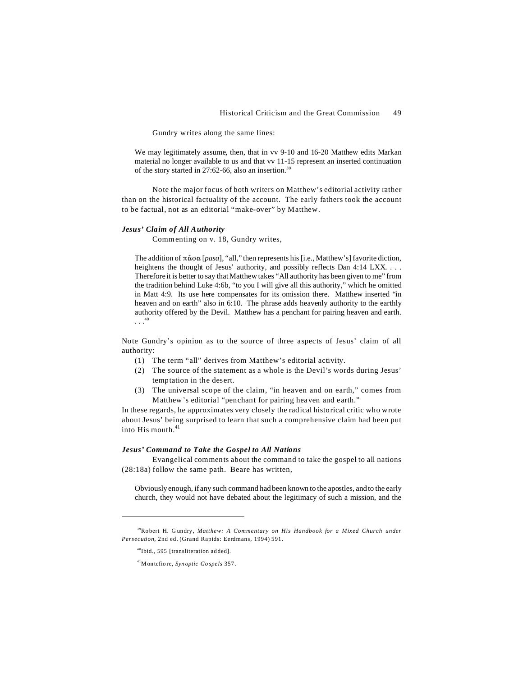Gundry writes along the same lines:

We may legitimately assume, then, that in vv 9-10 and 16-20 Matthew edits Markan material no longer available to us and that vv 11-15 represent an inserted continuation of the story started in 27:62-66, also an insertion.<sup>39</sup>

Note the major focus of both writers on Matthew's editorial activity rather than on the historical factuality of the account. The early fathers took the account to be factual, not as an editorial "make-over" by Matthew.

#### *Jesus' Claim of All Authority*

Commenting on v. 18, Gundry writes,

The addition of  $\pi \hat{\alpha} \sigma \alpha$  [*pasa*], "all," then represents his [i.e., Matthew's] favorite diction, heightens the thought of Jesus' authority, and possibly reflects Dan 4:14 LXX. . . . Therefore it is better to say that Matthew takes "All authority has been given to me" from the tradition behind Luke 4:6b, "to you I will give all this authority," which he omitted in Matt 4:9. Its use here compensates for its omission there. Matthew inserted "in heaven and on earth" also in 6:10. The phrase adds heavenly authority to the earthly authority offered by the Devil. Matthew has a penchant for pairing heaven and earth. . . . 40

Note Gundry's opinion as to the source of three aspects of Jesus' claim of all authority:

- (1) The term "all" derives from Matthew's editorial activity.
- (2) The source of the statement as a whole is the Devil's words during Jesus' temptation in the desert.
- (3) The universal scope of the claim, "in heaven and on earth," comes from Matthew's editorial "penchant for pairing heaven and earth."

In these regards, he approximates very closely the radical historical critic who wrote about Jesus' being surprised to learn that such a comprehensive claim had been put into His mouth  $41$ 

## *Jesus' Command to Take the Gospel to All Nations*

Evangelical comments about the command to take the gospel to all nations (28:18a) follow the same path. Beare has written,

Obviously enough, if any such command had been known to the apostles, and to the early church, they would not have debated about the legitimacy of such a mission, and the

<sup>39</sup>Ro bert H. G undry, *Matthew: A Commentary on His Handbook for a Mixed Church under Persecution*, 2nd ed. (Grand Rapids: Eerdmans, 1994) 591.

<sup>40</sup>Ibid., 595 [transliteration ad ded].

<sup>41</sup>Montefio re, *Syn optic Go spe ls* 357.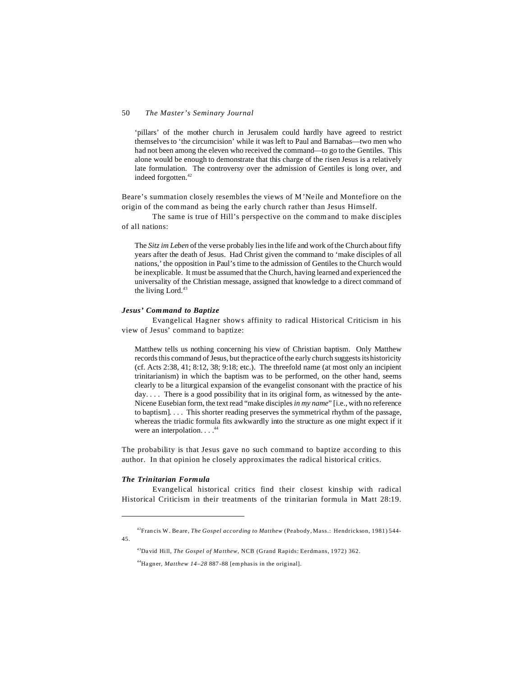'pillars' of the mother church in Jerusalem could hardly have agreed to restrict themselves to 'the circumcision' while it was left to Paul and Barnabas—two men who had not been among the eleven who received the command—to go to the Gentiles. This alone would be enough to demonstrate that this charge of the risen Jesus is a relatively late formulation. The controversy over the admission of Gentiles is long over, and indeed forgotten.<sup>42</sup>

Beare's summation closely resembles the views of M'Neile and Montefiore on the origin of the command as being the early church rather than Jesus Himself.

The same is true of Hill's perspective on the command to make disciples of all nations:

The *Sitz im Leben* of the verse probably lies in the life and work of the Church about fifty years after the death of Jesus. Had Christ given the command to 'make disciples of all nations,' the opposition in Paul's time to the admission of Gentiles to the Church would be inexplicable. It must be assumed that the Church, having learned and experienced the universality of the Christian message, assigned that knowledge to a direct command of the living Lord.<sup>43</sup>

## *Jesus' Command to Baptize*

Evangelical Hagner shows affinity to radical Historical Criticism in his view of Jesus' command to baptize:

Matthew tells us nothing concerning his view of Christian baptism. Only Matthew records this command of Jesus, but the practice of the early church suggests its historicity (cf. Acts 2:38, 41; 8:12, 38; 9:18; etc.). The threefold name (at most only an incipient trinitarianism) in which the baptism was to be performed, on the other hand, seems clearly to be a liturgical expansion of the evangelist consonant with the practice of his day.... There is a good possibility that in its original form, as witnessed by the ante-Nicene Eusebian form, the text read "make disciples *in my name*" [i.e., with no reference to baptism]. . . . This shorter reading preserves the symmetrical rhythm of the passage, whereas the triadic formula fits awkwardly into the structure as one might expect if it were an interpolation...<sup>44</sup>

The probability is that Jesus gave no such command to baptize according to this author. In that opinion he closely approximates the radical historical critics.

### *The Trinitarian Formula*

Evangelical historical critics find their closest kinship with radical Historical Criticism in their treatments of the trinitarian formula in Matt 28:19.

<sup>42</sup>Fran cis W. Be are, *The Gospel according to Matthew* (Peabody, Mass.: Hendrickson, 1981) 544- 45.

<sup>&</sup>lt;sup>43</sup>David Hill, *The Gospel of Matthew*, NCB (Grand Rapids: Eerdmans, 1972) 362.

<sup>44</sup>Ha gner, *Matthew 14–28* 887 -88 [emphasis in the orig inal].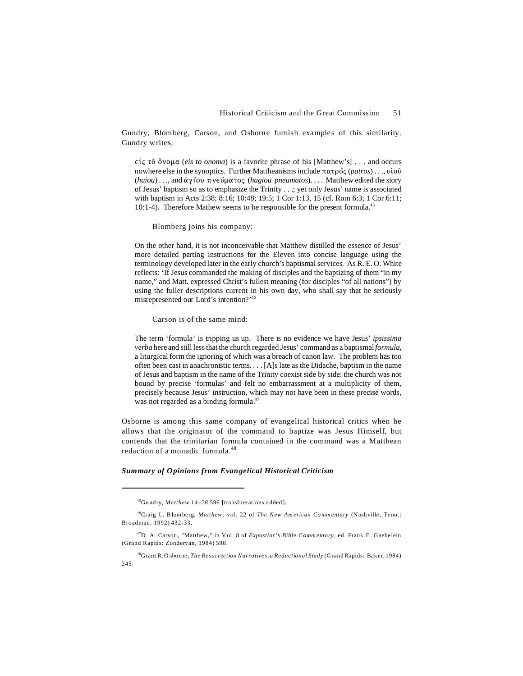Gundry, Blomberg, Carson, and Osborne furnish examples of this similarity. Gundry writes,

 $\epsilon \dot{\epsilon}$   $\zeta$   $\bar{\zeta}$   $\zeta$   $\delta$   $\zeta$  *(eis to onoma*) is a favorite phrase of his [Matthew's] . . . and occurs nowhere else in the synoptics. Further Mattheanisms include  $\pi \alpha \tau \rho \delta \zeta$  (*patros*) . . ., vio $\hat{\upsilon}$  $(huiou)$ ..., and  $\dot{\alpha}$   $\gamma$  (*bo*  $\pi$  ve  $\dot{\alpha}$  phagiou pneumatos).... Matthew edited the story of Jesus' baptism so as to emphasize the Trinity . . .; yet only Jesus' name is associated with baptism in Acts 2:38; 8:16; 10:48; 19:5; 1 Cor 1:13, 15 (cf. Rom 6:3; 1 Cor 6:11; 10:1-4). Therefore Mathew seems to be responsible for the present formula.<sup>45</sup>

Blomberg joins his company:

On the other hand, it is not inconceivable that Matthew distilled the essence of Jesus' more detailed parting instructions for the Eleven into concise language using the terminology developed later in the early church's baptismal services. As R. E. O. White reflects: 'If Jesus commanded the making of disciples and the baptizing of them "in my name," and Matt. expressed Christ's fullest meaning (for disciples "of all nations") by using the fuller descriptions current in his own day, who shall say that he seriously misrepresented our Lord's intention?'<sup>46</sup>

Carson is of the same mind:

The term 'formula' is tripping us up. There is no evidence we have Jesus' *ipsissima verba* here and still less that the church regarded Jesus' command as a baptismal *formula*, a liturgical form the ignoring of which was a breach of canon law. The problem has too often been cast in anachronistic terms. . . . [A]s late as the Didache, baptism in the name of Jesus and baptism in the name of the Trinity coexist side by side: the church was not bound by precise 'formulas' and felt no embarrassment at a multiplicity of them, precisely because Jesus' instruction, which may not have been in these precise words, was not regarded as a binding formula.<sup>47</sup>

Osborne is among this same company of evangelical historical critics when he allows that the originator of the command to baptize was Jesus Himself, but contends that the trinitarian formula contained in the command was a Matthean redaction of a monadic formula.<sup>48</sup>

#### *Summary of Opinions from Evangelical Historical Criticism*

<sup>45</sup>Gu ndry, *Matthew 14–28* 596 [transliterations added ].

<sup>&</sup>lt;sup>46</sup>Craig L. Blomberg, *Matthew*, vol. 22 of *The New American Commentary* (Nashville, Tenn.: Broadman, 1992) 432-33.

<sup>47</sup>D. A. Carson , "Matthew," in V ol. 8 of *Expostior's Bible Comm entary*, ed. Frank E. Gaebe lein (Grand Rapids: Zondervan, 1984) 598.

<sup>48</sup>Grant R. O sbo rne , *The Resurrection Narratives, a Redactional Study* (Grand Rapids: Bak er, 1984) 245.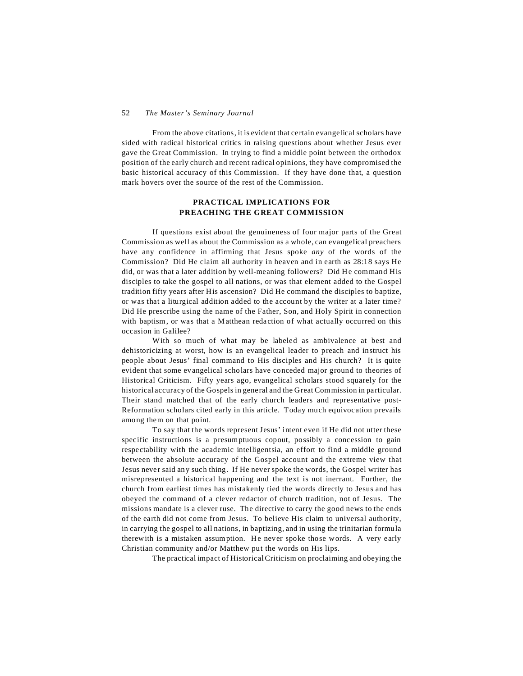From the above citations, it is evident that certain evangelical scholars have sided with radical historical critics in raising questions about whether Jesus ever gave the Great Commission. In trying to find a middle point between the orthodox position of the early church and recent radical opinions, they have compromised the basic historical accuracy of this Commission. If they have done that, a question mark hovers over the source of the rest of the Commission.

## **PRACTICAL IMPLICATIONS FOR PREACHING THE GREAT COMMISSION**

If questions exist about the genuineness of four major parts of the Great Commission as well as about the Commission as a whole, can evangelical preachers have any confidence in affirming that Jesus spoke *any* of the words of the Commission? Did He claim all authority in heaven and in earth as 28:18 says He did, or was that a later addition by well-meaning followers? Did He command His disciples to take the gospel to all nations, or was that element added to the Gospel tradition fifty years after His ascension? Did He command the disciples to baptize, or was that a liturgical addition added to the account by the writer at a later time? Did He prescribe using the name of the Father, Son, and Holy Spirit in connection with baptism, or was that a Matthean redaction of what actually occurred on this occasion in Galilee?

With so much of what may be labeled as ambivalence at best and dehistoricizing at worst, how is an evangelical leader to preach and instruct his people about Jesus' final command to His disciples and His church? It is quite evident that some evangelical scholars have conceded major ground to theories of Historical Criticism. Fifty years ago, evangelical scholars stood squarely for the historical accuracy of the Gospels in general and the Great Commission in particular. Their stand matched that of the early church leaders and representative post-Reformation scholars cited early in this article. Today much equivocation prevails among them on that point.

To say that the words represent Jesus' intent even if He did not utter these specific instructions is a presumptuous copout, possibly a concession to gain respectability with the academic intelligentsia, an effort to find a middle ground between the absolute accuracy of the Gospel account and the extreme view that Jesus never said any such thing. If He never spoke the words, the Gospel writer has misrepresented a historical happening and the text is not inerrant. Further, the church from earliest times has mistakenly tied the words directly to Jesus and has obeyed the command of a clever redactor of church tradition, not of Jesus. The missions mandate is a clever ruse. The directive to carry the good news to the ends of the earth did not come from Jesus. To believe His claim to universal authority, in carrying the gospel to all nations, in baptizing, and in using the trinitarian formula therewith is a mistaken assumption. He never spoke those words. A very early Christian community and/or Matthew put the words on His lips.

The practical impact of Historical Criticism on proclaiming and obeying the